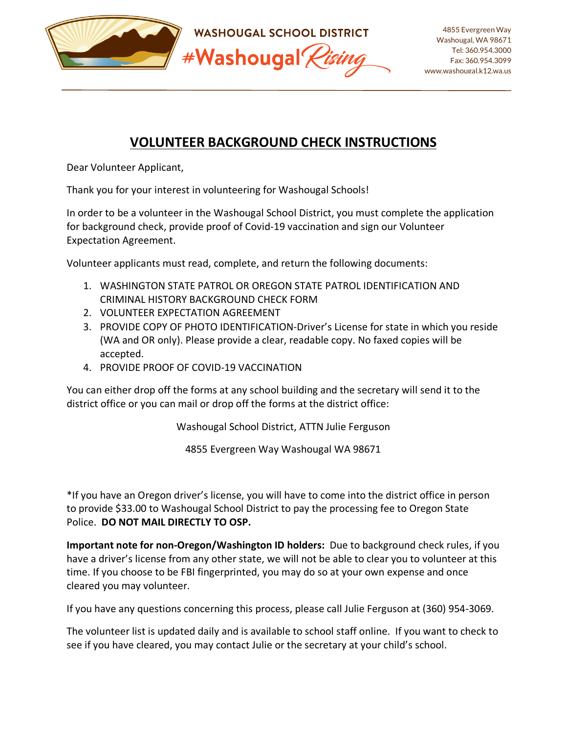

## **VOLUNTEER BACKGROUND CHECK INSTRUCTIONS**

Dear Volunteer Applicant,

Thank you for your interest in volunteering for Washougal Schools!

In order to be a volunteer in the Washougal School District, you must complete the application for background check, provide proof of Covid-19 vaccination and sign our Volunteer Expectation Agreement.

Volunteer applicants must read, complete, and return the following documents:

- 1. WASHINGTON STATE PATROL OR OREGON STATE PATROL IDENTIFICATION AND CRIMINAL HISTORY BACKGROUND CHECK FORM
- 2. VOLUNTEER EXPECTATION AGREEMENT
- 3. PROVIDE COPY OF PHOTO IDENTIFICATION-Driver's License for state in which you reside (WA and OR only). Please provide a clear, readable copy. No faxed copies will be accepted.
- 4. PROVIDE PROOF OF COVID-19 VACCINATION

You can either drop off the forms at any school building and the secretary will send it to the district office or you can mail or drop off the forms at the district office:

Washougal School District, ATTN Julie Ferguson

4855 Evergreen Way Washougal WA 98671

\*If you have an Oregon driver's license, you will have to come into the district office in person to provide \$33.00 to Washougal School District to pay the processing fee to Oregon State Police. **DO NOT MAIL DIRECTLY TO OSP.**

**Important note for non-Oregon/Washington ID holders:** Due to background check rules, if you have a driver's license from any other state, we will not be able to clear you to volunteer at this time. If you choose to be FBI fingerprinted, you may do so at your own expense and once cleared you may volunteer.

If you have any questions concerning this process, please call Julie Ferguson at (360) 954-3069.

The volunteer list is updated daily and is available to school staff online. If you want to check to see if you have cleared, you may contact Julie or the secretary at your child's school.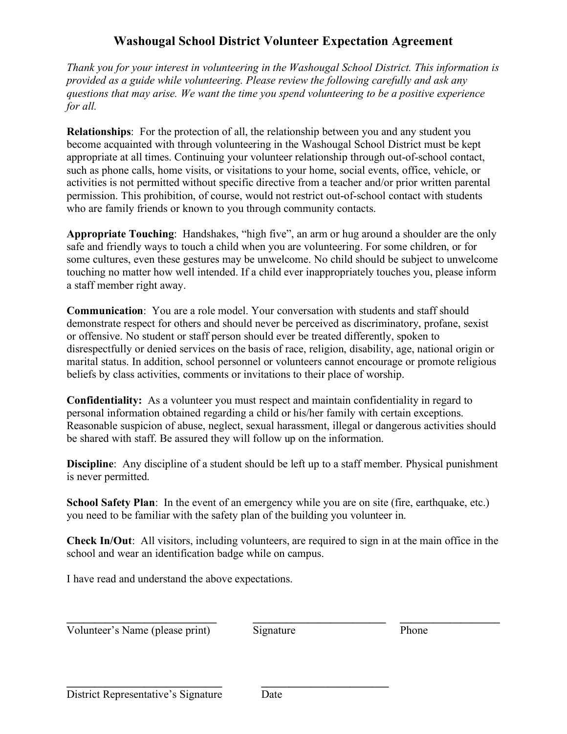### **Washougal School District Volunteer Expectation Agreement**

*Thank you for your interest in volunteering in the Washougal School District. This information is provided as a guide while volunteering. Please review the following carefully and ask any questions that may arise. We want the time you spend volunteering to be a positive experience for all.* 

**Relationships**: For the protection of all, the relationship between you and any student you become acquainted with through volunteering in the Washougal School District must be kept appropriate at all times. Continuing your volunteer relationship through out-of-school contact, such as phone calls, home visits, or visitations to your home, social events, office, vehicle, or activities is not permitted without specific directive from a teacher and/or prior written parental permission. This prohibition, of course, would not restrict out-of-school contact with students who are family friends or known to you through community contacts.

**Appropriate Touching**: Handshakes, "high five", an arm or hug around a shoulder are the only safe and friendly ways to touch a child when you are volunteering. For some children, or for some cultures, even these gestures may be unwelcome. No child should be subject to unwelcome touching no matter how well intended. If a child ever inappropriately touches you, please inform a staff member right away.

**Communication**: You are a role model. Your conversation with students and staff should demonstrate respect for others and should never be perceived as discriminatory, profane, sexist or offensive. No student or staff person should ever be treated differently, spoken to disrespectfully or denied services on the basis of race, religion, disability, age, national origin or marital status. In addition, school personnel or volunteers cannot encourage or promote religious beliefs by class activities, comments or invitations to their place of worship.

**Confidentiality:** As a volunteer you must respect and maintain confidentiality in regard to personal information obtained regarding a child or his/her family with certain exceptions. Reasonable suspicion of abuse, neglect, sexual harassment, illegal or dangerous activities should be shared with staff. Be assured they will follow up on the information.

**Discipline**: Any discipline of a student should be left up to a staff member. Physical punishment is never permitted.

**School Safety Plan**: In the event of an emergency while you are on site (fire, earthquake, etc.) you need to be familiar with the safety plan of the building you volunteer in.

**Check In/Out**: All visitors, including volunteers, are required to sign in at the main office in the school and wear an identification badge while on campus.

I have read and understand the above expectations.

Volunteer's Name (please print) Signature Phone

 $\mathcal{L} = \{ \mathcal{L} \in \mathcal{L} \mid \mathcal{L} \neq \emptyset \}$ 

**\_\_\_\_\_\_\_\_\_\_\_\_\_\_\_\_\_\_\_\_\_\_\_\_\_\_\_\_ \_\_\_\_\_\_\_\_\_\_\_\_\_\_\_\_\_\_\_\_\_\_\_**